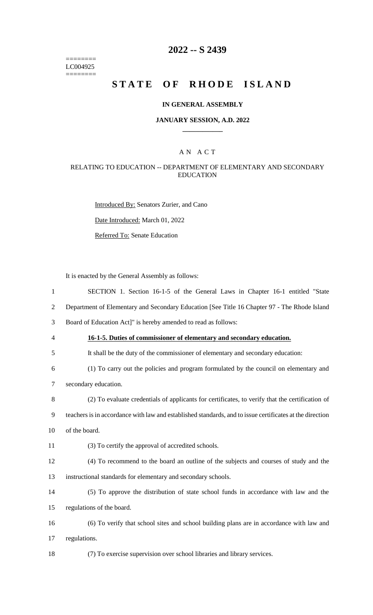======== LC004925  $=$ 

### **2022 -- S 2439**

# STATE OF RHODE ISLAND

### **IN GENERAL ASSEMBLY**

#### **JANUARY SESSION, A.D. 2022 \_\_\_\_\_\_\_\_\_\_\_\_**

### A N A C T

### RELATING TO EDUCATION -- DEPARTMENT OF ELEMENTARY AND SECONDARY EDUCATION

Introduced By: Senators Zurier, and Cano Date Introduced: March 01, 2022 Referred To: Senate Education

It is enacted by the General Assembly as follows:

| SECTION 1. Section 16-1-5 of the General Laws in Chapter 16-1 entitled "State                            |
|----------------------------------------------------------------------------------------------------------|
| Department of Elementary and Secondary Education [See Title 16 Chapter 97 - The Rhode Island             |
| Board of Education Act]" is hereby amended to read as follows:                                           |
| 16-1-5. Duties of commissioner of elementary and secondary education.                                    |
| It shall be the duty of the commissioner of elementary and secondary education:                          |
| (1) To carry out the policies and program formulated by the council on elementary and                    |
| secondary education.                                                                                     |
| (2) To evaluate credentials of applicants for certificates, to verify that the certification of          |
| teachers is in accordance with law and established standards, and to issue certificates at the direction |
| of the board.                                                                                            |
| (3) To certify the approval of accredited schools.                                                       |
| (4) To recommend to the board an outline of the subjects and courses of study and the                    |
| instructional standards for elementary and secondary schools.                                            |
| (5) To approve the distribution of state school funds in accordance with law and the                     |
| regulations of the board.                                                                                |
| (6) To verify that school sites and school building plans are in accordance with law and                 |
|                                                                                                          |
| regulations.                                                                                             |
|                                                                                                          |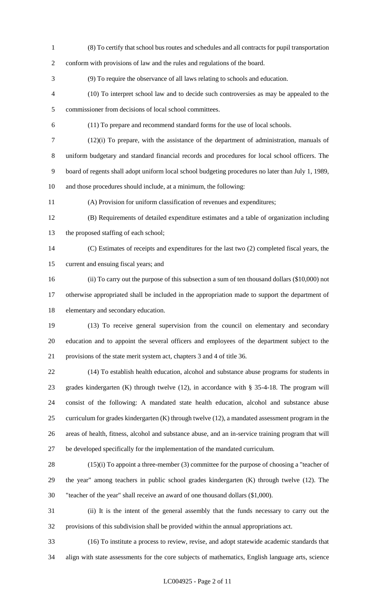(8) To certify that school bus routes and schedules and all contracts for pupil transportation conform with provisions of law and the rules and regulations of the board. (9) To require the observance of all laws relating to schools and education. (10) To interpret school law and to decide such controversies as may be appealed to the commissioner from decisions of local school committees. (11) To prepare and recommend standard forms for the use of local schools. (12)(i) To prepare, with the assistance of the department of administration, manuals of uniform budgetary and standard financial records and procedures for local school officers. The board of regents shall adopt uniform local school budgeting procedures no later than July 1, 1989, and those procedures should include, at a minimum, the following: (A) Provision for uniform classification of revenues and expenditures; (B) Requirements of detailed expenditure estimates and a table of organization including the proposed staffing of each school; (C) Estimates of receipts and expenditures for the last two (2) completed fiscal years, the current and ensuing fiscal years; and (ii) To carry out the purpose of this subsection a sum of ten thousand dollars (\$10,000) not

 otherwise appropriated shall be included in the appropriation made to support the department of elementary and secondary education.

 (13) To receive general supervision from the council on elementary and secondary education and to appoint the several officers and employees of the department subject to the provisions of the state merit system act, chapters 3 and 4 of title 36.

 (14) To establish health education, alcohol and substance abuse programs for students in grades kindergarten (K) through twelve (12), in accordance with § 35-4-18. The program will consist of the following: A mandated state health education, alcohol and substance abuse curriculum for grades kindergarten (K) through twelve (12), a mandated assessment program in the areas of health, fitness, alcohol and substance abuse, and an in-service training program that will be developed specifically for the implementation of the mandated curriculum.

 (15)(i) To appoint a three-member (3) committee for the purpose of choosing a "teacher of the year" among teachers in public school grades kindergarten (K) through twelve (12). The "teacher of the year" shall receive an award of one thousand dollars (\$1,000).

 (ii) It is the intent of the general assembly that the funds necessary to carry out the provisions of this subdivision shall be provided within the annual appropriations act.

 (16) To institute a process to review, revise, and adopt statewide academic standards that align with state assessments for the core subjects of mathematics, English language arts, science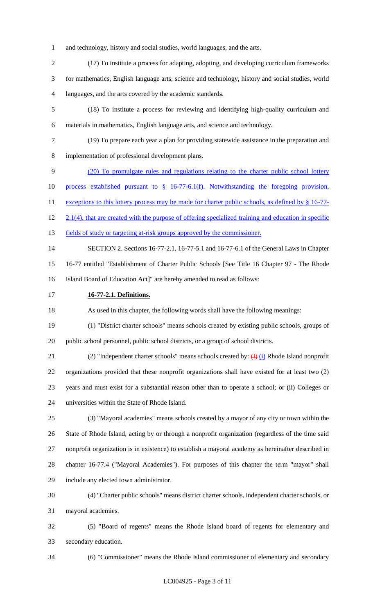- and technology, history and social studies, world languages, and the arts.
- (17) To institute a process for adapting, adopting, and developing curriculum frameworks for mathematics, English language arts, science and technology, history and social studies, world languages, and the arts covered by the academic standards.
- (18) To institute a process for reviewing and identifying high-quality curriculum and materials in mathematics, English language arts, and science and technology.
- (19) To prepare each year a plan for providing statewide assistance in the preparation and implementation of professional development plans.
- (20) To promulgate rules and regulations relating to the charter public school lottery
- process established pursuant to § 16-77-6.1(f). Notwithstanding the foregoing provision,
- 11 exceptions to this lottery process may be made for charter public schools, as defined by § 16-77-
- 12 2.1(4), that are created with the purpose of offering specialized training and education in specific
- 13 fields of study or targeting at-risk groups approved by the commissioner.
- SECTION 2. Sections 16-77-2.1, 16-77-5.1 and 16-77-6.1 of the General Laws in Chapter
- 16-77 entitled "Establishment of Charter Public Schools [See Title 16 Chapter 97 The Rhode
- Island Board of Education Act]" are hereby amended to read as follows:
- **16-77-2.1. Definitions.**

As used in this chapter, the following words shall have the following meanings:

- (1) "District charter schools" means schools created by existing public schools, groups of public school personnel, public school districts, or a group of school districts.
- 21 (2) "Independent charter schools" means schools created by:  $\overline{H}$  (i) Rhode Island nonprofit organizations provided that these nonprofit organizations shall have existed for at least two (2) years and must exist for a substantial reason other than to operate a school; or (ii) Colleges or universities within the State of Rhode Island.
- (3) "Mayoral academies" means schools created by a mayor of any city or town within the State of Rhode Island, acting by or through a nonprofit organization (regardless of the time said nonprofit organization is in existence) to establish a mayoral academy as hereinafter described in chapter 16-77.4 ("Mayoral Academies"). For purposes of this chapter the term "mayor" shall include any elected town administrator.
- (4) "Charter public schools" means district charter schools, independent charter schools, or mayoral academies.
- (5) "Board of regents" means the Rhode Island board of regents for elementary and secondary education.
- 

(6) "Commissioner" means the Rhode Island commissioner of elementary and secondary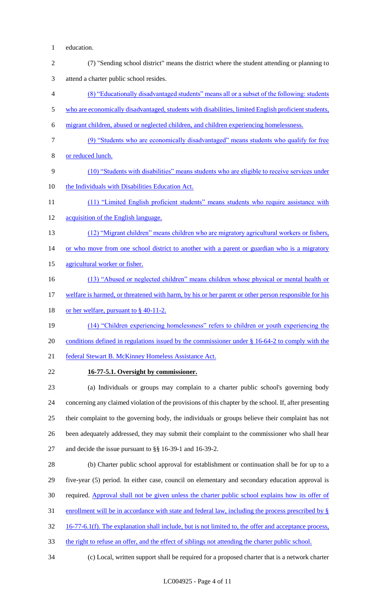- education.
- (7) "Sending school district" means the district where the student attending or planning to attend a charter public school resides. (8) "Educationally disadvantaged students" means all or a subset of the following: students
- 5 who are economically disadvantaged, students with disabilities, limited English proficient students,
- migrant children, abused or neglected children, and children experiencing homelessness.
- (9) "Students who are economically disadvantaged" means students who qualify for free
- or reduced lunch.
- (10) "Students with disabilities" means students who are eligible to receive services under
- the Individuals with Disabilities Education Act.
- 11 (11) "Limited English proficient students" means students who require assistance with acquisition of the English language.
- 13 (12) "Migrant children" means children who are migratory agricultural workers or fishers,

14 or who move from one school district to another with a parent or guardian who is a migratory

- agricultural worker or fisher.
- 16 (13) "Abused or neglected children" means children whose physical or mental health or
- 17 welfare is harmed, or threatened with harm, by his or her parent or other person responsible for his
- 18 or her welfare, pursuant to § 40-11-2.
- (14) "Children experiencing homelessness" refers to children or youth experiencing the
- conditions defined in regulations issued by the commissioner under § 16-64-2 to comply with the
- 21 federal Stewart B. McKinney Homeless Assistance Act.
- **16-77-5.1. Oversight by commissioner.**

 (a) Individuals or groups may complain to a charter public school's governing body concerning any claimed violation of the provisions of this chapter by the school. If, after presenting their complaint to the governing body, the individuals or groups believe their complaint has not been adequately addressed, they may submit their complaint to the commissioner who shall hear and decide the issue pursuant to §§ 16-39-1 and 16-39-2.

- (b) Charter public school approval for establishment or continuation shall be for up to a five-year (5) period. In either case, council on elementary and secondary education approval is required. Approval shall not be given unless the charter public school explains how its offer of enrollment will be in accordance with state and federal law, including the process prescribed by § 16-77-6.1(f). The explanation shall include, but is not limited to, the offer and acceptance process,
- 33 the right to refuse an offer, and the effect of siblings not attending the charter public school.
- 

(c) Local, written support shall be required for a proposed charter that is a network charter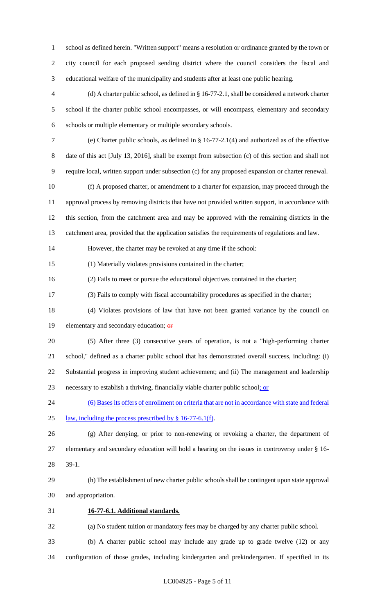school as defined herein. "Written support" means a resolution or ordinance granted by the town or city council for each proposed sending district where the council considers the fiscal and educational welfare of the municipality and students after at least one public hearing.

 (d) A charter public school, as defined in § 16-77-2.1, shall be considered a network charter school if the charter public school encompasses, or will encompass, elementary and secondary schools or multiple elementary or multiple secondary schools.

 (e) Charter public schools, as defined in § 16-77-2.1(4) and authorized as of the effective date of this act [July 13, 2016], shall be exempt from subsection (c) of this section and shall not require local, written support under subsection (c) for any proposed expansion or charter renewal.

 (f) A proposed charter, or amendment to a charter for expansion, may proceed through the approval process by removing districts that have not provided written support, in accordance with this section, from the catchment area and may be approved with the remaining districts in the catchment area, provided that the application satisfies the requirements of regulations and law.

However, the charter may be revoked at any time if the school:

(1) Materially violates provisions contained in the charter;

(2) Fails to meet or pursue the educational objectives contained in the charter;

(3) Fails to comply with fiscal accountability procedures as specified in the charter;

- (4) Violates provisions of law that have not been granted variance by the council on 19 elementary and secondary education; or
- (5) After three (3) consecutive years of operation, is not a "high-performing charter school," defined as a charter public school that has demonstrated overall success, including: (i) Substantial progress in improving student achievement; and (ii) The management and leadership necessary to establish a thriving, financially viable charter public school; or
- (6) Bases its offers of enrollment on criteria that are not in accordance with state and federal law, including the process prescribed by § 16-77-6.1(f).

 (g) After denying, or prior to non-renewing or revoking a charter, the department of elementary and secondary education will hold a hearing on the issues in controversy under § 16- 39-1.

 (h) The establishment of new charter public schools shall be contingent upon state approval and appropriation.

**16-77-6.1. Additional standards.**

(a) No student tuition or mandatory fees may be charged by any charter public school.

(b) A charter public school may include any grade up to grade twelve (12) or any

configuration of those grades, including kindergarten and prekindergarten. If specified in its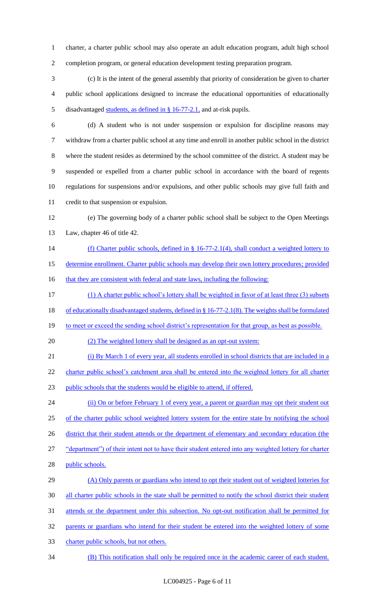charter, a charter public school may also operate an adult education program, adult high school completion program, or general education development testing preparation program.

 (c) It is the intent of the general assembly that priority of consideration be given to charter public school applications designed to increase the educational opportunities of educationally disadvantaged students, as defined in § 16-77-2.1, and at-risk pupils.

 (d) A student who is not under suspension or expulsion for discipline reasons may withdraw from a charter public school at any time and enroll in another public school in the district where the student resides as determined by the school committee of the district. A student may be suspended or expelled from a charter public school in accordance with the board of regents regulations for suspensions and/or expulsions, and other public schools may give full faith and credit to that suspension or expulsion.

 (e) The governing body of a charter public school shall be subject to the Open Meetings Law, chapter 46 of title 42.

- 14 (f) Charter public schools, defined in § 16-77-2.1(4), shall conduct a weighted lottery to
- determine enrollment. Charter public schools may develop their own lottery procedures; provided

16 that they are consistent with federal and state laws, including the following:

(1) A charter public school's lottery shall be weighted in favor of at least three (3) subsets

of educationally disadvantaged students, defined in § 16-77-2.1(8). The weights shall be formulated

19 to meet or exceed the sending school district's representation for that group, as best as possible.

(2) The weighted lottery shall be designed as an opt-out system:

(i) By March 1 of every year, all students enrolled in school districts that are included in a

22 charter public school's catchment area shall be entered into the weighted lottery for all charter

public schools that the students would be eligible to attend, if offered.

24 (ii) On or before February 1 of every year, a parent or guardian may opt their student out of the charter public school weighted lottery system for the entire state by notifying the school 26 district that their student attends or the department of elementary and secondary education (the "department") of their intent not to have their student entered into any weighted lottery for charter 28 public schools.

29 (A) Only parents or guardians who intend to opt their student out of weighted lotteries for all charter public schools in the state shall be permitted to notify the school district their student attends or the department under this subsection. No opt-out notification shall be permitted for parents or guardians who intend for their student be entered into the weighted lottery of some

- charter public schools, but not others.
- (B) This notification shall only be required once in the academic career of each student.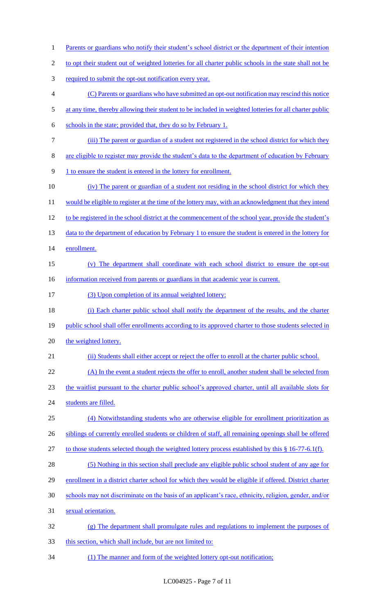- 1 Parents or guardians who notify their student's school district or the department of their intention 2 to opt their student out of weighted lotteries for all charter public schools in the state shall not be 3 required to submit the opt-out notification every year. 4 (C) Parents or guardians who have submitted an opt-out notification may rescind this notice 5 at any time, thereby allowing their student to be included in weighted lotteries for all charter public 6 schools in the state; provided that, they do so by February 1. 7 (iii) The parent or guardian of a student not registered in the school district for which they 8 are eligible to register may provide the student's data to the department of education by February 9 1 to ensure the student is entered in the lottery for enrollment. 10 (iv) The parent or guardian of a student not residing in the school district for which they 11 would be eligible to register at the time of the lottery may, with an acknowledgment that they intend 12 to be registered in the school district at the commencement of the school year, provide the student's 13 data to the department of education by February 1 to ensure the student is entered in the lottery for 14 enrollment. 15 (v) The department shall coordinate with each school district to ensure the opt-out 16 information received from parents or guardians in that academic year is current. 17 (3) Upon completion of its annual weighted lottery: 18 (i) Each charter public school shall notify the department of the results, and the charter 19 public school shall offer enrollments according to its approved charter to those students selected in 20 the weighted lottery. 21 (ii) Students shall either accept or reject the offer to enroll at the charter public school. 22 (A) In the event a student rejects the offer to enroll, another student shall be selected from 23 the waitlist pursuant to the charter public school's approved charter, until all available slots for 24 students are filled. 25 (4) Notwithstanding students who are otherwise eligible for enrollment prioritization as 26 siblings of currently enrolled students or children of staff, all remaining openings shall be offered 27 to those students selected though the weighted lottery process established by this § 16-77-6.1(f). 28 (5) Nothing in this section shall preclude any eligible public school student of any age for 29 enrollment in a district charter school for which they would be eligible if offered. District charter 30 schools may not discriminate on the basis of an applicant's race, ethnicity, religion, gender, and/or 31 sexual orientation. 32 (g) The department shall promulgate rules and regulations to implement the purposes of 33 this section, which shall include, but are not limited to:
- 34 (1) The manner and form of the weighted lottery opt-out notification;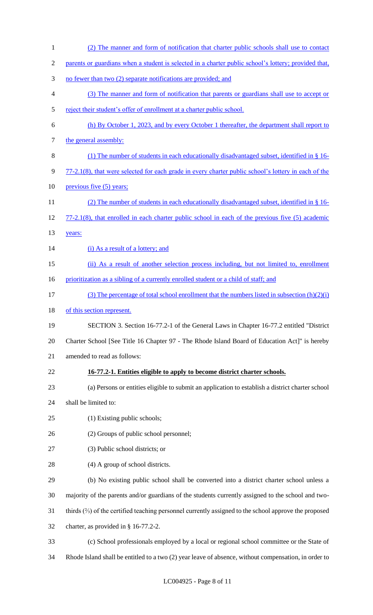(2) The manner and form of notification that charter public schools shall use to contact parents or guardians when a student is selected in a charter public school's lottery; provided that, no fewer than two (2) separate notifications are provided; and (3) The manner and form of notification that parents or guardians shall use to accept or reject their student's offer of enrollment at a charter public school. (h) By October 1, 2023, and by every October 1 thereafter, the department shall report to 7 the general assembly: (1) The number of students in each educationally disadvantaged subset, identified in § 16- 9 77-2.1(8), that were selected for each grade in every charter public school's lottery in each of the 10 previous five (5) years; (2) The number of students in each educationally disadvantaged subset, identified in § 16- 77-2.1(8), that enrolled in each charter public school in each of the previous five (5) academic 13 years: 14 (i) As a result of a lottery; and (ii) As a result of another selection process including, but not limited to, enrollment 16 prioritization as a sibling of a currently enrolled student or a child of staff; and 17 (3) The percentage of total school enrollment that the numbers listed in subsection  $(h)(2)(i)$ 18 of this section represent. SECTION 3. Section 16-77.2-1 of the General Laws in Chapter 16-77.2 entitled "District Charter School [See Title 16 Chapter 97 - The Rhode Island Board of Education Act]" is hereby amended to read as follows: **16-77.2-1. Entities eligible to apply to become district charter schools.** (a) Persons or entities eligible to submit an application to establish a district charter school shall be limited to: (1) Existing public schools; (2) Groups of public school personnel; (3) Public school districts; or 28 (4) A group of school districts. (b) No existing public school shall be converted into a district charter school unless a majority of the parents and/or guardians of the students currently assigned to the school and two- thirds (⅔) of the certified teaching personnel currently assigned to the school approve the proposed charter, as provided in § 16-77.2-2. (c) School professionals employed by a local or regional school committee or the State of Rhode Island shall be entitled to a two (2) year leave of absence, without compensation, in order to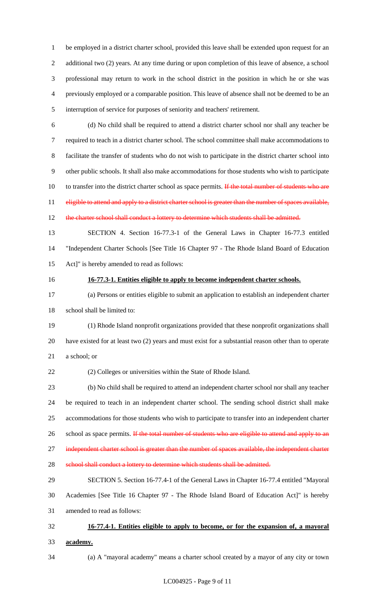be employed in a district charter school, provided this leave shall be extended upon request for an additional two (2) years. At any time during or upon completion of this leave of absence, a school professional may return to work in the school district in the position in which he or she was previously employed or a comparable position. This leave of absence shall not be deemed to be an interruption of service for purposes of seniority and teachers' retirement.

 (d) No child shall be required to attend a district charter school nor shall any teacher be required to teach in a district charter school. The school committee shall make accommodations to facilitate the transfer of students who do not wish to participate in the district charter school into other public schools. It shall also make accommodations for those students who wish to participate 10 to transfer into the district charter school as space permits. If the total number of students who are 11 eligible to attend and apply to a district charter school is greater than the number of spaces available,

12 the charter school shall conduct a lottery to determine which students shall be admitted.

 SECTION 4. Section 16-77.3-1 of the General Laws in Chapter 16-77.3 entitled "Independent Charter Schools [See Title 16 Chapter 97 - The Rhode Island Board of Education Act]" is hereby amended to read as follows:

#### **16-77.3-1. Entities eligible to apply to become independent charter schools.**

 (a) Persons or entities eligible to submit an application to establish an independent charter school shall be limited to:

 (1) Rhode Island nonprofit organizations provided that these nonprofit organizations shall have existed for at least two (2) years and must exist for a substantial reason other than to operate a school; or

(2) Colleges or universities within the State of Rhode Island.

 (b) No child shall be required to attend an independent charter school nor shall any teacher be required to teach in an independent charter school. The sending school district shall make accommodations for those students who wish to participate to transfer into an independent charter 26 school as space permits. If the total number of students who are eligible to attend and apply to an 27 independent charter school is greater than the number of spaces available, the independent charter

28 school shall conduct a lottery to determine which students shall be admitted.

 SECTION 5. Section 16-77.4-1 of the General Laws in Chapter 16-77.4 entitled "Mayoral Academies [See Title 16 Chapter 97 - The Rhode Island Board of Education Act]" is hereby amended to read as follows:

**16-77.4-1. Entities eligible to apply to become, or for the expansion of, a mayoral** 

**academy.**

(a) A "mayoral academy" means a charter school created by a mayor of any city or town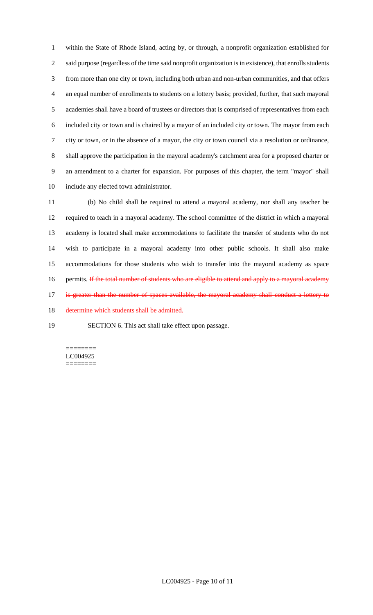within the State of Rhode Island, acting by, or through, a nonprofit organization established for said purpose (regardless of the time said nonprofit organization is in existence), that enrolls students from more than one city or town, including both urban and non-urban communities, and that offers an equal number of enrollments to students on a lottery basis; provided, further, that such mayoral academies shall have a board of trustees or directors that is comprised of representatives from each included city or town and is chaired by a mayor of an included city or town. The mayor from each city or town, or in the absence of a mayor, the city or town council via a resolution or ordinance, shall approve the participation in the mayoral academy's catchment area for a proposed charter or an amendment to a charter for expansion. For purposes of this chapter, the term "mayor" shall include any elected town administrator.

 (b) No child shall be required to attend a mayoral academy, nor shall any teacher be required to teach in a mayoral academy. The school committee of the district in which a mayoral academy is located shall make accommodations to facilitate the transfer of students who do not wish to participate in a mayoral academy into other public schools. It shall also make accommodations for those students who wish to transfer into the mayoral academy as space 16 permits. If the total number of students who are eligible to attend and apply to a mayoral academy 17 is greater than the number of spaces available, the mayoral academy shall conduct a lottery to determine which students shall be admitted.

SECTION 6. This act shall take effect upon passage.

======== LC004925 ========